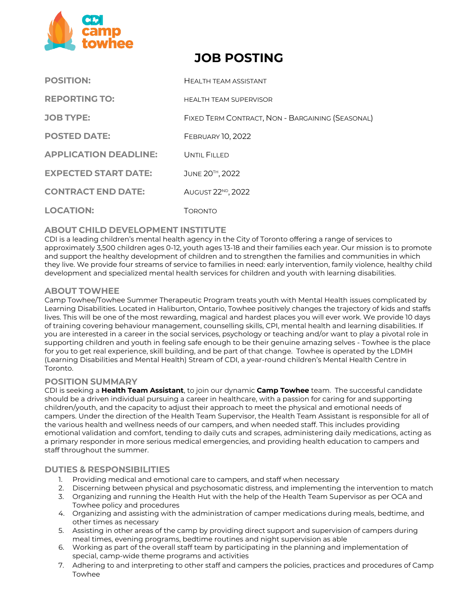

# **JOB POSTING**

| <b>POSITION:</b>             | <b>HEALTH TEAM ASSISTANT</b>                     |
|------------------------------|--------------------------------------------------|
| <b>REPORTING TO:</b>         | <b>HEALTH TEAM SUPERVISOR</b>                    |
| <b>JOB TYPE:</b>             | FIXED TERM CONTRACT, NON - BARGAINING (SEASONAL) |
| <b>POSTED DATE:</b>          | <b>FEBRUARY 10, 2022</b>                         |
| <b>APPLICATION DEADLINE:</b> | UNTIL FILLED                                     |
| <b>EXPECTED START DATE:</b>  | JUNE 20TH, 2022                                  |
| <b>CONTRACT END DATE:</b>    | AUGUST 22 <sup>ND</sup> , 2022                   |
| <b>LOCATION:</b>             | Торомто                                          |

## **ABOUT CHILD DEVELOPMENT INSTITUTE**

CDI is a leading children's mental health agency in the City of Toronto offering a range of services to approximately 3,500 children ages 0‐12, youth ages 13-18 and their families each year. Our mission is to promote and support the healthy development of children and to strengthen the families and communities in which they live. We provide four streams of service to families in need: early intervention, family violence, healthy child development and specialized mental health services for children and youth with learning disabilities.

## **ABOUT TOWHEE**

Camp Towhee/Towhee Summer Therapeutic Program treats youth with Mental Health issues complicated by Learning Disabilities. Located in Haliburton, Ontario, Towhee positively changes the trajectory of kids and staffs lives. This will be one of the most rewarding, magical and hardest places you will ever work. We provide 10 days of training covering behaviour management, counselling skills, CPI, mental health and learning disabilities. If you are interested in a career in the social services, psychology or teaching and/or want to play a pivotal role in supporting children and youth in feeling safe enough to be their genuine amazing selves - Towhee is the place for you to get real experience, skill building, and be part of that change. Towhee is operated by the LDMH (Learning Disabilities and Mental Health) Stream of CDI, a year-round children's Mental Health Centre in Toronto.

#### **POSITION SUMMARY**

CDI is seeking a **Health Team Assistant**, to join our dynamic **Camp Towhee** team. The successful candidate should be a driven individual pursuing a career in healthcare, with a passion for caring for and supporting children/youth, and the capacity to adjust their approach to meet the physical and emotional needs of campers. Under the direction of the Health Team Supervisor, the Health Team Assistant is responsible for all of the various health and wellness needs of our campers, and when needed staff. This includes providing emotional validation and comfort, tending to daily cuts and scrapes, administering daily medications, acting as a primary responder in more serious medical emergencies, and providing health education to campers and staff throughout the summer.

## **DUTIES & RESPONSIBILITIES**

- 1. Providing medical and emotional care to campers, and staff when necessary
- 2. Discerning between physical and psychosomatic distress, and implementing the intervention to match
- 3. Organizing and running the Health Hut with the help of the Health Team Supervisor as per OCA and Towhee policy and procedures
- 4. Organizing and assisting with the administration of camper medications during meals, bedtime, and other times as necessary
- 5. Assisting in other areas of the camp by providing direct support and supervision of campers during meal times, evening programs, bedtime routines and night supervision as able
- 6. Working as part of the overall staff team by participating in the planning and implementation of special, camp-wide theme programs and activities
- 7. Adhering to and interpreting to other staff and campers the policies, practices and procedures of Camp Towhee